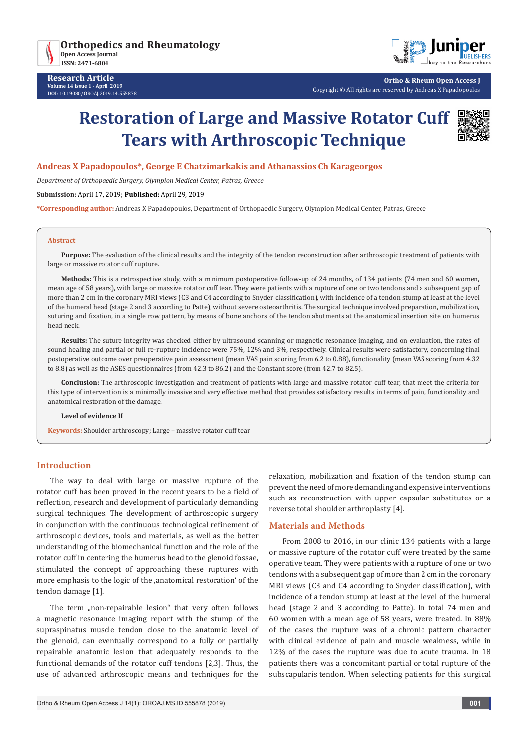



**Ortho & Rheum Open Access J** Copyright © All rights are reserved by Andreas X Papadopoulos

# **Restoration of Large and Massive Rotator Cuff Tears with Arthroscopic Technique**



## **Andreas X Papadopoulos\*, George E Chatzimarkakis and Athanassios Ch Karageorgos**

*Department of Orthopaedic Surgery, Olympion Medical Center, Patras, Greece*

**Submission:** April 17, 2019; **Published:** April 29, 2019

**\*Corresponding author:** Andreas X Papadopoulos, Department of Orthopaedic Surgery, Olympion Medical Center, Patras, Greece

#### **Abstract**

**Purpose:** The evaluation of the clinical results and the integrity of the tendon reconstruction after arthroscopic treatment of patients with large or massive rotator cuff rupture.

**Methods:** This is a retrospective study, with a minimum postoperative follow-up of 24 months, of 134 patients (74 men and 60 women, mean age of 58 years), with large or massive rotator cuff tear. They were patients with a rupture of one or two tendons and a subsequent gap of more than 2 cm in the coronary MRI views (C3 and C4 according to Snyder classification), with incidence of a tendon stump at least at the level of the humeral head (stage 2 and 3 according to Patte), without severe osteoarthritis. The surgical technique involved preparation, mobilization, suturing and fixation, in a single row pattern, by means of bone anchors of the tendon abutments at the anatomical insertion site on humerus head neck.

**Results:** The suture integrity was checked either by ultrasound scanning or magnetic resonance imaging, and on evaluation, the rates of sound healing and partial or full re-rupture incidence were 75%, 12% and 3%, respectively. Clinical results were satisfactory, concerning final postoperative outcome over preoperative pain assessment (mean VAS pain scoring from 6.2 to 0.88), functionality (mean VAS scoring from 4.32 to 8.8) as well as the ASES questionnaires (from 42.3 to 86.2) and the Constant score (from 42.7 to 82.5).

**Conclusion:** The arthroscopic investigation and treatment of patients with large and massive rotator cuff tear, that meet the criteria for this type of intervention is a minimally invasive and very effective method that provides satisfactory results in terms of pain, functionality and anatomical restoration of the damage.

#### **Level of evidence II**

**Keywords:** Shoulder arthroscopy; Large – massive rotator cuff tear

## **Introduction**

The way to deal with large or massive rupture of the rotator cuff has been proved in the recent years to be a field of reflection, research and development of particularly demanding surgical techniques. The development of arthroscopic surgery in conjunction with the continuous technological refinement of arthroscopic devices, tools and materials, as well as the better understanding of the biomechanical function and the role of the rotator cuff in centering the humerus head to the glenoid fossae, stimulated the concept of approaching these ruptures with more emphasis to the logic of the ,anatomical restoration' of the tendon damage [1].

The term "non-repairable lesion" that very often follows a magnetic resonance imaging report with the stump of the supraspinatus muscle tendon close to the anatomic level of the glenoid, can eventually correspond to a fully or partially repairable anatomic lesion that adequately responds to the functional demands of the rotator cuff tendons [2,3]. Thus, the use of advanced arthroscopic means and techniques for the relaxation, mobilization and fixation of the tendon stump can prevent the need of more demanding and expensive interventions such as reconstruction with upper capsular substitutes or a reverse total shoulder arthroplasty [4].

### **Materials and Methods**

From 2008 to 2016, in our clinic 134 patients with a large or massive rupture of the rotator cuff were treated by the same operative team. They were patients with a rupture of one or two tendons with a subsequent gap of more than 2 cm in the coronary MRI views (C3 and C4 according to Snyder classification), with incidence of a tendon stump at least at the level of the humeral head (stage 2 and 3 according to Patte). In total 74 men and 60 women with a mean age of 58 years, were treated. In 88% of the cases the rupture was of a chronic pattern character with clinical evidence of pain and muscle weakness, while in 12% of the cases the rupture was due to acute trauma. In 18 patients there was a concomitant partial or total rupture of the subscapularis tendon. When selecting patients for this surgical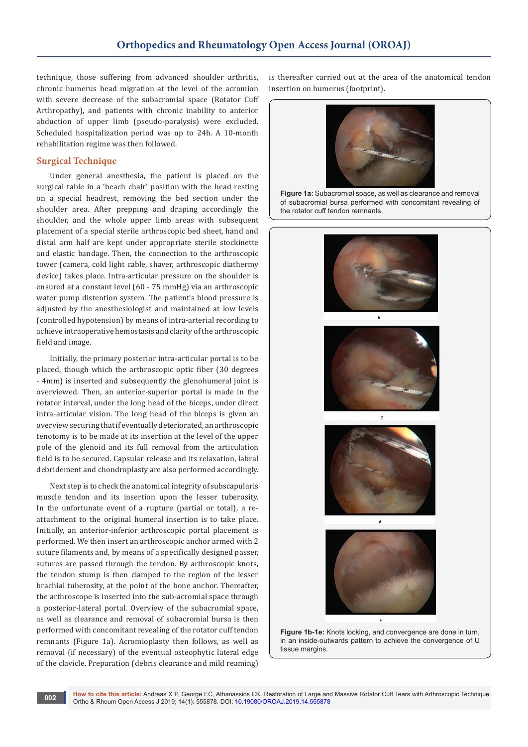technique, those suffering from advanced shoulder arthritis, chronic humerus head migration at the level of the acromion with severe decrease of the subacromial space (Rotator Cuff Arthropathy), and patients with chronic inability to anterior abduction of upper limb (pseudo-paralysis) were excluded. Scheduled hospitalization period was up to 24h. A 10-month rehabilitation regime was then followed.

# **Surgical Technique**

Under general anesthesia, the patient is placed on the surgical table in a 'beach chair' position with the head resting on a special headrest, removing the bed section under the shoulder area. After prepping and draping accordingly the shoulder, and the whole upper limb areas with subsequent placement of a special sterile arthroscopic bed sheet, hand and distal arm half are kept under appropriate sterile stockinette and elastic bandage. Then, the connection to the arthroscopic tower (camera, cold light cable, shaver, arthroscopic diathermy device) takes place. Intra-articular pressure on the shoulder is ensured at a constant level (60 - 75 mmHg) via an arthroscopic water pump distention system. The patient's blood pressure is adjusted by the anesthesiologist and maintained at low levels (controlled hypotension) by means of intra-arterial recording to achieve intraoperative hemostasis and clarity of the arthroscopic field and image.

Initially, the primary posterior intra-articular portal is to be placed, though which the arthroscopic optic fiber (30 degrees - 4mm) is inserted and subsequently the glenohumeral joint is overviewed. Then, an anterior-superior portal is made in the rotator interval, under the long head of the biceps, under direct intra-articular vision. The long head of the biceps is given an overview securing that if eventually deteriorated, an arthroscopic tenotomy is to be made at its insertion at the level of the upper pole of the glenoid and its full removal from the articulation field is to be secured. Capsular release and its relaxation, labral debridement and chondroplasty are also performed accordingly.

Next step is to check the anatomical integrity of subscapularis muscle tendon and its insertion upon the lesser tuberosity. In the unfortunate event of a rupture (partial or total), a reattachment to the original humeral insertion is to take place. Initially, an anterior-inferior arthroscopic portal placement is performed. We then insert an arthroscopic anchor armed with 2 suture filaments and, by means of a specifically designed passer, sutures are passed through the tendon. By arthroscopic knots, the tendon stump is then clamped to the region of the lesser brachial tuberosity, at the point of the bone anchor. Thereafter, the arthroscope is inserted into the sub-acromial space through a posterior-lateral portal. Overview of the subacromial space, as well as clearance and removal of subacromial bursa is then performed with concomitant revealing of the rotator cuff tendon remnants (Figure 1a). Acromioplasty then follows, as well as removal (if necessary) of the eventual osteophytic lateral edge of the clavicle. Preparation (debris clearance and mild reaming)

is thereafter carried out at the area of the anatomical tendon insertion on humerus (footprint).



**Figure 1a:** Subacromial space, as well as clearance and removal of subacromial bursa performed with concomitant revealing of the rotator cuff tendon remnants.





 $\mathbf{d}$ 



**Figure 1b-1e:** Knots locking, and convergence are done in turn, in an inside-outwards pattern to achieve the convergence of U tissue margins.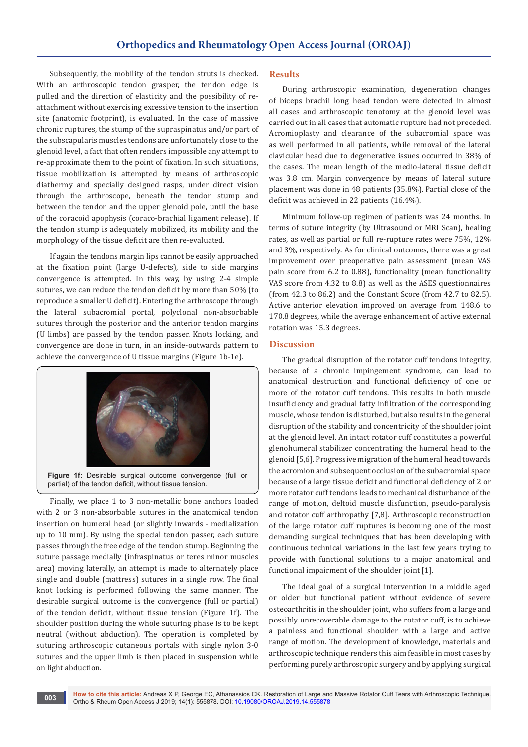Subsequently, the mobility of the tendon struts is checked. With an arthroscopic tendon grasper, the tendon edge is pulled and the direction of elasticity and the possibility of reattachment without exercising excessive tension to the insertion site (anatomic footprint), is evaluated. In the case of massive chronic ruptures, the stump of the supraspinatus and/or part of the subscapularis muscles tendons are unfortunately close to the glenoid level, a fact that often renders impossible any attempt to re-approximate them to the point of fixation. In such situations, tissue mobilization is attempted by means of arthroscopic diathermy and specially designed rasps, under direct vision through the arthroscope, beneath the tendon stump and between the tendon and the upper glenoid pole, until the base of the coracoid apophysis (coraco-brachial ligament release). If the tendon stump is adequately mobilized, its mobility and the morphology of the tissue deficit are then re-evaluated.

If again the tendons margin lips cannot be easily approached at the fixation point (large U-defects), side to side margins convergence is attempted. In this way, by using 2-4 simple sutures, we can reduce the tendon deficit by more than 50% (to reproduce a smaller U deficit). Entering the arthroscope through the lateral subacromial portal, polyclonal non-absorbable sutures through the posterior and the anterior tendon margins (U limbs) are passed by the tendon passer. Knots locking, and convergence are done in turn, in an inside-outwards pattern to achieve the convergence of U tissue margins (Figure 1b-1e).



Finally, we place 1 to 3 non-metallic bone anchors loaded with 2 or 3 non-absorbable sutures in the anatomical tendon insertion on humeral head (or slightly inwards - medialization up to 10 mm). By using the special tendon passer, each suture passes through the free edge of the tendon stump. Beginning the suture passage medially (infraspinatus or teres minor muscles area) moving laterally, an attempt is made to alternately place single and double (mattress) sutures in a single row. The final knot locking is performed following the same manner. The desirable surgical outcome is the convergence (full or partial) of the tendon deficit, without tissue tension (Figure 1f). The shoulder position during the whole suturing phase is to be kept neutral (without abduction). The operation is completed by suturing arthroscopic cutaneous portals with single nylon 3-0 sutures and the upper limb is then placed in suspension while on light abduction.

### **Results**

During arthroscopic examination, degeneration changes of biceps brachii long head tendon were detected in almost all cases and arthroscopic tenotomy at the glenoid level was carried out in all cases that automatic rupture had not preceded. Acromioplasty and clearance of the subacromial space was as well performed in all patients, while removal of the lateral clavicular head due to degenerative issues occurred in 38% of the cases. The mean length of the medio-lateral tissue deficit was 3.8 cm. Margin convergence by means of lateral suture placement was done in 48 patients (35.8%). Partial close of the deficit was achieved in 22 patients (16.4%).

Minimum follow-up regimen of patients was 24 months. In terms of suture integrity (by Ultrasound or MRI Scan), healing rates, as well as partial or full re-rupture rates were 75%, 12% and 3%, respectively. As for clinical outcomes, there was a great improvement over preoperative pain assessment (mean VAS pain score from 6.2 to 0.88), functionality (mean functionality VAS score from 4.32 to 8.8) as well as the ASES questionnaires (from 42.3 to 86.2) and the Constant Score (from 42.7 to 82.5). Active anterior elevation improved on average from 148.6 to 170.8 degrees, while the average enhancement of active external rotation was 15.3 degrees.

## **Discussion**

The gradual disruption of the rotator cuff tendons integrity, because of a chronic impingement syndrome, can lead to anatomical destruction and functional deficiency of one or more of the rotator cuff tendons. This results in both muscle insufficiency and gradual fatty infiltration of the corresponding muscle, whose tendon is disturbed, but also results in the general disruption of the stability and concentricity of the shoulder joint at the glenoid level. An intact rotator cuff constitutes a powerful glenohumeral stabilizer concentrating the humeral head to the glenoid [5,6]. Progressive migration of the humeral head towards the acromion and subsequent occlusion of the subacromial space because of a large tissue deficit and functional deficiency of 2 or more rotator cuff tendons leads to mechanical disturbance of the range of motion, deltoid muscle disfunction, pseudo-paralysis and rotator cuff arthropathy [7,8]. Arthroscopic reconstruction of the large rotator cuff ruptures is becoming one of the most demanding surgical techniques that has been developing with continuous technical variations in the last few years trying to provide with functional solutions to a major anatomical and functional impairment of the shoulder joint [1].

The ideal goal of a surgical intervention in a middle aged or older but functional patient without evidence of severe osteoarthritis in the shoulder joint, who suffers from a large and possibly unrecoverable damage to the rotator cuff, is to achieve a painless and functional shoulder with a large and active range of motion. The development of knowledge, materials and arthroscopic technique renders this aim feasible in most cases by performing purely arthroscopic surgery and by applying surgical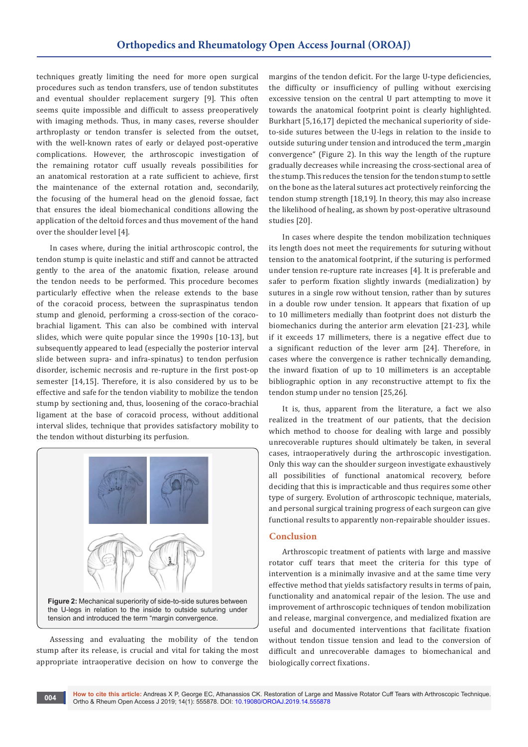techniques greatly limiting the need for more open surgical procedures such as tendon transfers, use of tendon substitutes and eventual shoulder replacement surgery [9]. This often seems quite impossible and difficult to assess preoperatively with imaging methods. Thus, in many cases, reverse shoulder arthroplasty or tendon transfer is selected from the outset, with the well-known rates of early or delayed post-operative complications. However, the arthroscopic investigation of the remaining rotator cuff usually reveals possibilities for an anatomical restoration at a rate sufficient to achieve, first the maintenance of the external rotation and, secondarily, the focusing of the humeral head on the glenoid fossae, fact that ensures the ideal biomechanical conditions allowing the application of the deltoid forces and thus movement of the hand over the shoulder level [4].

In cases where, during the initial arthroscopic control, the tendon stump is quite inelastic and stiff and cannot be attracted gently to the area of the anatomic fixation, release around the tendon needs to be performed. This procedure becomes particularly effective when the release extends to the base of the coracoid process, between the supraspinatus tendon stump and glenoid, performing a cross-section of the coracobrachial ligament. This can also be combined with interval slides, which were quite popular since the 1990s [10-13], but subsequently appeared to lead (especially the posterior interval slide between supra- and infra-spinatus) to tendon perfusion disorder, ischemic necrosis and re-rupture in the first post-op semester [14,15]. Therefore, it is also considered by us to be effective and safe for the tendon viability to mobilize the tendon stump by sectioning and, thus, loosening of the coraco-brachial ligament at the base of coracoid process, without additional interval slides, technique that provides satisfactory mobility to the tendon without disturbing its perfusion.



Assessing and evaluating the mobility of the tendon stump after its release, is crucial and vital for taking the most appropriate intraoperative decision on how to converge the

margins of the tendon deficit. For the large U-type deficiencies, the difficulty or insufficiency of pulling without exercising excessive tension on the central U part attempting to move it towards the anatomical footprint point is clearly highlighted. Burkhart [5,16,17] depicted the mechanical superiority of sideto-side sutures between the U-legs in relation to the inside to outside suturing under tension and introduced the term "margin convergence" (Figure 2). In this way the length of the rupture gradually decreases while increasing the cross-sectional area of the stump. This reduces the tension for the tendon stump to settle on the bone as the lateral sutures act protectively reinforcing the tendon stump strength [18,19]. In theory, this may also increase the likelihood of healing, as shown by post-operative ultrasound studies [20].

In cases where despite the tendon mobilization techniques its length does not meet the requirements for suturing without tension to the anatomical footprint, if the suturing is performed under tension re-rupture rate increases [4]. It is preferable and safer to perform fixation slightly inwards (medialization) by sutures in a single row without tension, rather than by sutures in a double row under tension. It appears that fixation of up to 10 millimeters medially than footprint does not disturb the biomechanics during the anterior arm elevation [21-23], while if it exceeds 17 millimeters, there is a negative effect due to a significant reduction of the lever arm [24]. Therefore, in cases where the convergence is rather technically demanding, the inward fixation of up to 10 millimeters is an acceptable bibliographic option in any reconstructive attempt to fix the tendon stump under no tension [25,26].

It is, thus, apparent from the literature, a fact we also realized in the treatment of our patients, that the decision which method to choose for dealing with large and possibly unrecoverable ruptures should ultimately be taken, in several cases, intraoperatively during the arthroscopic investigation. Only this way can the shoulder surgeon investigate exhaustively all possibilities of functional anatomical recovery, before deciding that this is impracticable and thus requires some other type of surgery. Evolution of arthroscopic technique, materials, and personal surgical training progress of each surgeon can give functional results to apparently non-repairable shoulder issues.

### **Conclusion**

Arthroscopic treatment of patients with large and massive rotator cuff tears that meet the criteria for this type of intervention is a minimally invasive and at the same time very effective method that yields satisfactory results in terms of pain, functionality and anatomical repair of the lesion. The use and improvement of arthroscopic techniques of tendon mobilization and release, marginal convergence, and medialized fixation are useful and documented interventions that facilitate fixation without tendon tissue tension and lead to the conversion of difficult and unrecoverable damages to biomechanical and biologically correct fixations.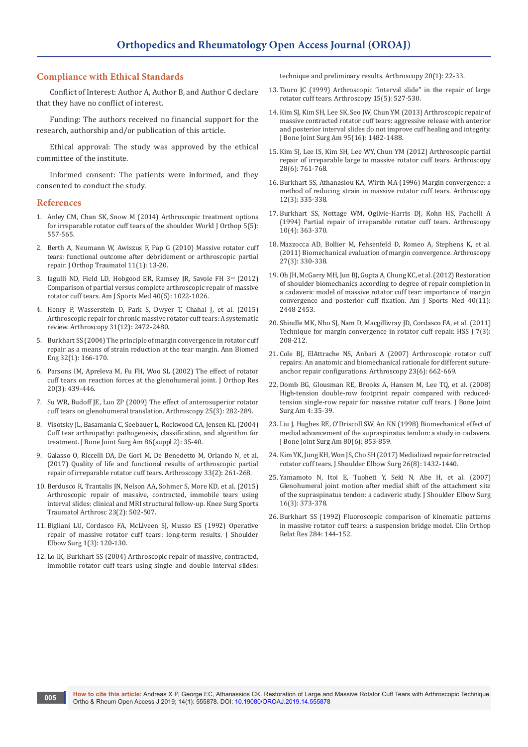## **Compliance with Ethical Standards**

Conflict of Interest: Author A, Author B, and Author C declare that they have no conflict of interest.

Funding: The authors received no financial support for the research, authorship and/or publication of this article.

Ethical approval: The study was approved by the ethical committee of the institute.

Informed consent: The patients were informed, and they consented to conduct the study.

#### **References**

- 1. [Anley CM, Chan SK, Snow M \(2014\) Arthroscopic treatment options](https://www.ncbi.nlm.nih.gov/pubmed/25405083)  [for irreparable rotator cuff tears of the shoulder. World J Orthop 5\(5\):](https://www.ncbi.nlm.nih.gov/pubmed/25405083)  [557-565.](https://www.ncbi.nlm.nih.gov/pubmed/25405083)
- 2. [Berth A, Neumann W, Awiszus F, Pap G \(2010\) Massive rotator cuff](https://www.ncbi.nlm.nih.gov/pubmed/20198404)  [tears: functional outcome after debridement or arthroscopic partial](https://www.ncbi.nlm.nih.gov/pubmed/20198404)  [repair. J Orthop Traumatol 11\(1\): 13-20.](https://www.ncbi.nlm.nih.gov/pubmed/20198404)
- 3. [Iagulli ND, Field LD, Hobgood ER, Ramsey JR, Savoie FH 3](https://www.ncbi.nlm.nih.gov/pubmed/22415210)rd (2012) [Comparison of partial versus complete arthroscopic repair of massive](https://www.ncbi.nlm.nih.gov/pubmed/22415210)  [rotator cuff tears. Am J Sports Med 40\(5\): 1022-1026.](https://www.ncbi.nlm.nih.gov/pubmed/22415210)
- 4. [Henry P, Wasserstein D, Park S, Dwyer T, Chahal J, et al. \(2015\)](https://www.ncbi.nlm.nih.gov/pubmed/26364549)  [Arthroscopic repair for chronic massive rotator cuff tears: A systematic](https://www.ncbi.nlm.nih.gov/pubmed/26364549)  [review. Arthroscopy 31\(12\): 2472-2480.](https://www.ncbi.nlm.nih.gov/pubmed/26364549)
- 5. [Burkhart SS \(2004\) The principle of margin convergence in rotator cuff](https://www.ncbi.nlm.nih.gov/pubmed/14964732)  [repair as a means of strain reduction at the tear margin. Ann Biomed](https://www.ncbi.nlm.nih.gov/pubmed/14964732)  [Eng 32\(1\): 166-170.](https://www.ncbi.nlm.nih.gov/pubmed/14964732)
- 6. [Parsons IM, Apreleva M, Fu FH, Woo SL \(2002\) The effect of rotator](https://www.ncbi.nlm.nih.gov/pubmed/12038616)  [cuff tears on reaction forces at the glenohumeral joint. J Orthop Res](https://www.ncbi.nlm.nih.gov/pubmed/12038616)  [20\(3\): 439-446.](https://www.ncbi.nlm.nih.gov/pubmed/12038616)
- 7. [Su WR, Budoff JE, Luo ZP \(2009\) The effect of anterosuperior rotator](https://www.ncbi.nlm.nih.gov/pubmed/19245991)  [cuff tears on glenohumeral translation. Arthroscopy 25\(3\): 282-289.](https://www.ncbi.nlm.nih.gov/pubmed/19245991)
- 8. [Visotsky JL, Basamania C, Seebauer L, Rockwood CA, Jensen KL \(2004\)](https://www.ncbi.nlm.nih.gov/pubmed/15691107)  [Cuff tear arthropathy: pathogenesis, classification, and algorithm for](https://www.ncbi.nlm.nih.gov/pubmed/15691107)  [treatment. J Bone Joint Surg Am 86\(suppl 2\): 35-40.](https://www.ncbi.nlm.nih.gov/pubmed/15691107)
- 9. [Galasso O, Riccelli DA, De Gori M, De Benedetto M, Orlando N, et al.](https://www.ncbi.nlm.nih.gov/pubmed/27614389)  [\(2017\) Quality of life and functional results of arthroscopic partial](https://www.ncbi.nlm.nih.gov/pubmed/27614389)  [repair of irreparable rotator cuff tears. Arthroscopy 33\(2\): 261-268.](https://www.ncbi.nlm.nih.gov/pubmed/27614389)
- 10. [Berdusco R, Trantalis JN, Nelson AA, Sohmer S, More KD, et al. \(2015\)](https://www.ncbi.nlm.nih.gov/pubmed/24057423)  [Arthroscopic repair of massive, contracted, immobile tears using](https://www.ncbi.nlm.nih.gov/pubmed/24057423)  [interval slides: clinical and MRI structural follow-up. Knee Surg Sports](https://www.ncbi.nlm.nih.gov/pubmed/24057423)  [Traumatol Arthrosc 23\(2\): 502-507.](https://www.ncbi.nlm.nih.gov/pubmed/24057423)
- 11. [Bigliani LU, Cordasco FA, McLlveen SJ, Musso ES \(1992\) Operative](https://www.ncbi.nlm.nih.gov/pubmed/22971604)  [repair of massive rotator cuff tears: long-term results. J Shoulder](https://www.ncbi.nlm.nih.gov/pubmed/22971604)  [Elbow Surg 1\(3\): 120-130.](https://www.ncbi.nlm.nih.gov/pubmed/22971604)
- 12. [Lo IK, Burkhart SS \(2004\) Arthroscopic repair of massive, contracted,](https://www.ncbi.nlm.nih.gov/pubmed/14716275)  [immobile rotator cuff tears using single and double interval slides:](https://www.ncbi.nlm.nih.gov/pubmed/14716275)

[technique and preliminary results. Arthroscopy 20\(1\): 22-33.](https://www.ncbi.nlm.nih.gov/pubmed/14716275)

- 13. [Tauro JC \(1999\) Arthroscopic "interval slide" in the repair of large](https://www.ncbi.nlm.nih.gov/pubmed/10424557)  [rotator cuff tears. Arthroscopy 15\(5\): 527-530.](https://www.ncbi.nlm.nih.gov/pubmed/10424557)
- 14. [Kim SJ, Kim SH, Lee SK, Seo JW, Chun YM \(2013\) Arthroscopic repair of](https://www.ncbi.nlm.nih.gov/pubmed/23965698)  [massive contracted rotator cuff tears: aggressive release with anterior](https://www.ncbi.nlm.nih.gov/pubmed/23965698)  [and posterior interval slides do not improve cuff healing and integrity.](https://www.ncbi.nlm.nih.gov/pubmed/23965698)  [J Bone Joint Surg Am 95\(16\): 1482-1488.](https://www.ncbi.nlm.nih.gov/pubmed/23965698)
- 15. [Kim SJ, Lee IS, Kim SH, Lee WY, Chun YM \(2012\) Arthroscopic partial](https://www.ncbi.nlm.nih.gov/pubmed/22317798)  [repair of irreparable large to massive rotator cuff tears. Arthroscopy](https://www.ncbi.nlm.nih.gov/pubmed/22317798)  [28\(6\): 761-768.](https://www.ncbi.nlm.nih.gov/pubmed/22317798)
- 16. [Burkhart SS, Athanasiou KA, Wirth MA \(1996\) Margin convergence: a](https://www.ncbi.nlm.nih.gov/pubmed/8783829)  [method of reducing strain in massive rotator cuff tears. Arthroscopy](https://www.ncbi.nlm.nih.gov/pubmed/8783829)  [12\(3\): 335-338.](https://www.ncbi.nlm.nih.gov/pubmed/8783829)
- 17. [Burkhart SS, Nottage WM, Ogilvie-Harris DJ, Kohn HS, Pachelli A](https://www.ncbi.nlm.nih.gov/pubmed/7945631)  [\(1994\) Partial repair of irreparable rotator cuff tears. Arthroscopy](https://www.ncbi.nlm.nih.gov/pubmed/7945631)  [10\(4\): 363-370.](https://www.ncbi.nlm.nih.gov/pubmed/7945631)
- 18. [Mazzocca AD, Bollier M, Fehsenfeld D, Romeo A, Stephens K, et al.](https://www.ncbi.nlm.nih.gov/pubmed/21144695)  [\(2011\) Biomechanical evaluation of margin convergence. Arthroscopy](https://www.ncbi.nlm.nih.gov/pubmed/21144695)  [27\(3\): 330-338.](https://www.ncbi.nlm.nih.gov/pubmed/21144695)
- 19. [Oh JH, McGarry MH, Jun BJ, Gupta A, Chung KC, et al. \(2012\) Restoration](https://www.ncbi.nlm.nih.gov/pubmed/22984129)  [of shoulder biomechanics according to degree of repair completion in](https://www.ncbi.nlm.nih.gov/pubmed/22984129)  [a cadaveric model of massive rotator cuff tear: importance of margin](https://www.ncbi.nlm.nih.gov/pubmed/22984129)  [convergence and posterior cuff fixation. Am J Sports Med 40\(11\):](https://www.ncbi.nlm.nih.gov/pubmed/22984129)  [2448-2453.](https://www.ncbi.nlm.nih.gov/pubmed/22984129)
- 20. [Shindle MK, Nho SJ, Nam D, Macgillivray JD, Cordasco FA, et al. \(2011\)](https://www.ncbi.nlm.nih.gov/pubmed/23024615)  Technique for margin convergence in rotator cuff repair. HSS  $[7(3)$ : [208-212.](https://www.ncbi.nlm.nih.gov/pubmed/23024615)
- 21. [Cole BJ, ElAttrache NS, Anbari A \(2007\) Arthroscopic rotator cuff](https://www.ncbi.nlm.nih.gov/pubmed/17560482)  [repairs: An anatomic and biomechanical rationale for different suture](https://www.ncbi.nlm.nih.gov/pubmed/17560482)[anchor repair configurations. Arthroscopy 23\(6\): 662-669.](https://www.ncbi.nlm.nih.gov/pubmed/17560482)
- 22. [Domb BG, Glousman RE, Brooks A, Hansen M, Lee TQ, et al. \(2008\)](https://www.ncbi.nlm.nih.gov/pubmed/18984716)  [High-tension double-row footprint repair compared with reduced](https://www.ncbi.nlm.nih.gov/pubmed/18984716)[tension single-row repair for massive rotator cuff tears. J Bone Joint](https://www.ncbi.nlm.nih.gov/pubmed/18984716)  [Surg Am 4: 35-39.](https://www.ncbi.nlm.nih.gov/pubmed/18984716)
- 23. [Liu J, Hughes RE, O'Driscoll SW, An KN \(1998\) Biomechanical effect of](https://www.ncbi.nlm.nih.gov/pubmed/9655103)  [medial advancement of the supraspinatus tendon: a study in cadavera.](https://www.ncbi.nlm.nih.gov/pubmed/9655103)  [J Bone Joint Surg Am 80\(6\): 853-859.](https://www.ncbi.nlm.nih.gov/pubmed/9655103)
- 24. [Kim YK, Jung KH, Won JS, Cho SH \(2017\) Medialized repair for retracted](https://www.ncbi.nlm.nih.gov/pubmed/28139386)  [rotator cuff tears. J Shoulder Elbow Surg 26\(8\): 1432-1440.](https://www.ncbi.nlm.nih.gov/pubmed/28139386)
- 25. [Yamamoto N, Itoi E, Tuoheti Y, Seki N, Abe H, et al. \(2007\)](https://www.ncbi.nlm.nih.gov/pubmed/17321166)  [Glenohumeral joint motion after medial shift of the attachment site](https://www.ncbi.nlm.nih.gov/pubmed/17321166)  [of the supraspinatus tendon: a cadaveric study. J Shoulder Elbow Surg](https://www.ncbi.nlm.nih.gov/pubmed/17321166)  [16\(3\): 373-378.](https://www.ncbi.nlm.nih.gov/pubmed/17321166)
- 26. [Burkhart SS \(1992\) Fluoroscopic comparison of kinematic patterns](https://www.ncbi.nlm.nih.gov/pubmed/1395284)  [in massive rotator cuff tears: a suspension bridge model. Clin Orthop](https://www.ncbi.nlm.nih.gov/pubmed/1395284)  [Relat Res 284: 144-152.](https://www.ncbi.nlm.nih.gov/pubmed/1395284)